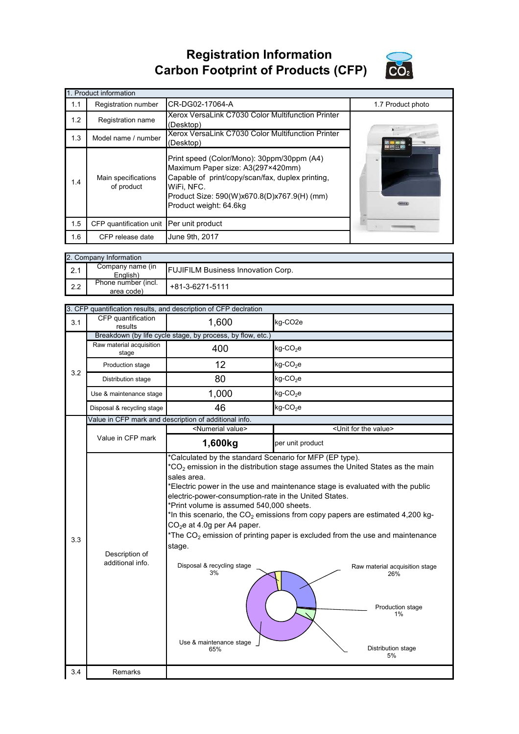## **Registration Information Carbon Footprint of Products (CFP)**



|     | 1. Product information                   |                                                                                                                                                                                                                            |                   |  |  |  |
|-----|------------------------------------------|----------------------------------------------------------------------------------------------------------------------------------------------------------------------------------------------------------------------------|-------------------|--|--|--|
| 1.1 | <b>Registration number</b>               | CR-DG02-17064-A                                                                                                                                                                                                            | 1.7 Product photo |  |  |  |
| 1.2 | Registration name                        | Xerox VersaLink C7030 Color Multifunction Printer<br>(Desktop)                                                                                                                                                             |                   |  |  |  |
| 1.3 | Model name / number                      | Xerox VersaLink C7030 Color Multifunction Printer<br>(Desktop)                                                                                                                                                             |                   |  |  |  |
| 1.4 | Main specifications<br>of product        | Print speed (Color/Mono): 30ppm/30ppm (A4)<br>Maximum Paper size: A3(297×420mm)<br>Capable of print/copy/scan/fax, duplex printing,<br>WiFi, NFC.<br>Product Size: 590(W)x670.8(D)x767.9(H) (mm)<br>Product weight: 64.6kg |                   |  |  |  |
| 1.5 | CFP quantification unit Per unit product |                                                                                                                                                                                                                            |                   |  |  |  |
| 1.6 | CFP release date                         | June 9th, 2017                                                                                                                                                                                                             |                   |  |  |  |

|     | 2. Company Information            |                                           |  |  |  |
|-----|-----------------------------------|-------------------------------------------|--|--|--|
| 2.1 | Company name (in<br>English)      | <b>FUJIFILM Business Innovation Corp.</b> |  |  |  |
| 2.2 | Phone number (incl.<br>area code) | +81-3-6271-5111                           |  |  |  |

|     | 3. CFP quantification results, and description of CFP declration |                                                                                                                                                                                                                                                                                             |                                                                                                                                                                                                                                                                                                                                                                                                                                                   |
|-----|------------------------------------------------------------------|---------------------------------------------------------------------------------------------------------------------------------------------------------------------------------------------------------------------------------------------------------------------------------------------|---------------------------------------------------------------------------------------------------------------------------------------------------------------------------------------------------------------------------------------------------------------------------------------------------------------------------------------------------------------------------------------------------------------------------------------------------|
| 3.1 | CFP quantification<br>results                                    | 1,600                                                                                                                                                                                                                                                                                       | kg-CO2e                                                                                                                                                                                                                                                                                                                                                                                                                                           |
|     |                                                                  | Breakdown (by life cycle stage, by process, by flow, etc.)                                                                                                                                                                                                                                  |                                                                                                                                                                                                                                                                                                                                                                                                                                                   |
|     | Raw material acquisition<br>stage                                | 400                                                                                                                                                                                                                                                                                         | $kg$ -CO <sub>2</sub> e                                                                                                                                                                                                                                                                                                                                                                                                                           |
| 3.2 | Production stage                                                 | 12                                                                                                                                                                                                                                                                                          | $kg$ -CO <sub>2</sub> e                                                                                                                                                                                                                                                                                                                                                                                                                           |
|     | Distribution stage                                               | 80                                                                                                                                                                                                                                                                                          | $kg$ -CO <sub>2</sub> e                                                                                                                                                                                                                                                                                                                                                                                                                           |
|     | Use & maintenance stage                                          | 1,000                                                                                                                                                                                                                                                                                       | $kg$ -CO <sub>2</sub> e                                                                                                                                                                                                                                                                                                                                                                                                                           |
|     | Disposal & recycling stage                                       | 46                                                                                                                                                                                                                                                                                          | $kg$ -CO <sub>2</sub> e                                                                                                                                                                                                                                                                                                                                                                                                                           |
|     |                                                                  | Value in CFP mark and description of additional info.                                                                                                                                                                                                                                       |                                                                                                                                                                                                                                                                                                                                                                                                                                                   |
|     |                                                                  | <numerial value=""></numerial>                                                                                                                                                                                                                                                              | <unit for="" the="" value=""></unit>                                                                                                                                                                                                                                                                                                                                                                                                              |
|     | Value in CFP mark                                                | 1,600kg                                                                                                                                                                                                                                                                                     | per unit product                                                                                                                                                                                                                                                                                                                                                                                                                                  |
| 3.3 | Description of<br>additional info.                               | *Calculated by the standard Scenario for MFP (EP type).<br>sales area.<br>electric-power-consumption-rate in the United States.<br>*Print volume is assumed 540,000 sheets.<br>$CO2e$ at 4.0g per A4 paper.<br>stage.<br>Disposal & recycling stage<br>3%<br>Use & maintenance stage<br>65% | $*$ CO <sub>2</sub> emission in the distribution stage assumes the United States as the main<br>*Electric power in the use and maintenance stage is evaluated with the public<br>*In this scenario, the $CO2$ emissions from copy papers are estimated 4,200 kg-<br>*The $CO2$ emission of printing paper is excluded from the use and maintenance<br>Raw material acquisition stage<br>26%<br>Production stage<br>1%<br>Distribution stage<br>5% |
| 3.4 | Remarks                                                          |                                                                                                                                                                                                                                                                                             |                                                                                                                                                                                                                                                                                                                                                                                                                                                   |
|     |                                                                  |                                                                                                                                                                                                                                                                                             |                                                                                                                                                                                                                                                                                                                                                                                                                                                   |